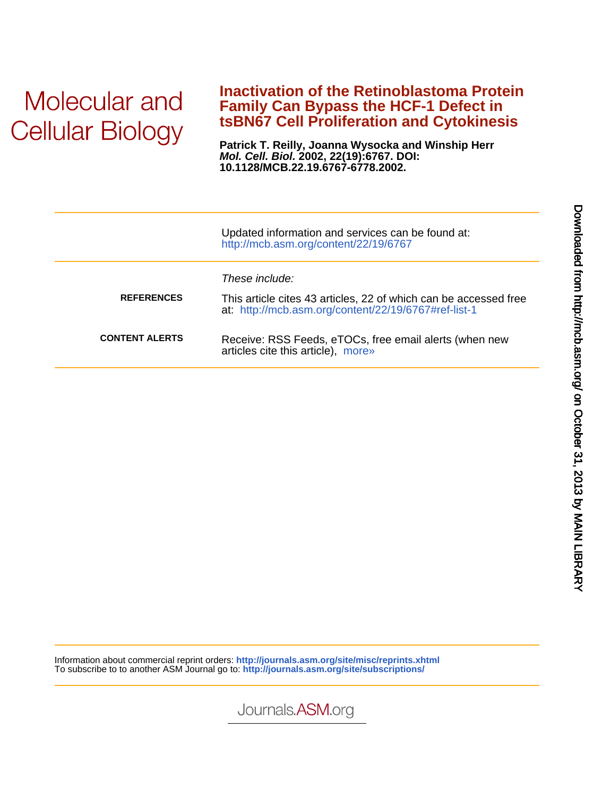# Molecular and **Cellular Biology**

## **tsBN67 Cell Proliferation and Cytokinesis Family Can Bypass the HCF-1 Defect in Inactivation of the Retinoblastoma Protein**

**10.1128/MCB.22.19.6767-6778.2002. Mol. Cell. Biol. 2002, 22(19):6767. DOI: Patrick T. Reilly, Joanna Wysocka and Winship Herr**

|                       | Updated information and services can be found at:<br>http://mcb.asm.org/content/22/19/6767                                                 |
|-----------------------|--------------------------------------------------------------------------------------------------------------------------------------------|
| <b>REFERENCES</b>     | These include:<br>This article cites 43 articles, 22 of which can be accessed free<br>at: http://mcb.asm.org/content/22/19/6767#ref-list-1 |
| <b>CONTENT ALERTS</b> | Receive: RSS Feeds, eTOCs, free email alerts (when new<br>articles cite this article), more»                                               |

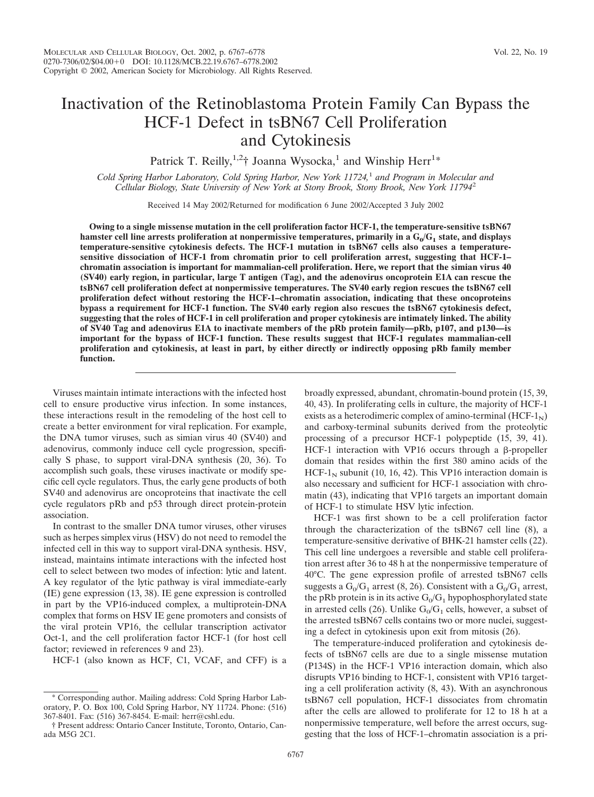## Inactivation of the Retinoblastoma Protein Family Can Bypass the HCF-1 Defect in tsBN67 Cell Proliferation and Cytokinesis

Patrick T. Reilly,<sup>1,2</sup>† Joanna Wysocka,<sup>1</sup> and Winship Herr<sup>1\*</sup>

*Cold Spring Harbor Laboratory, Cold Spring Harbor, New York 11724,*<sup>1</sup> *and Program in Molecular and Cellular Biology, State University of New York at Stony Brook, Stony Brook, New York 11794*<sup>2</sup>

Received 14 May 2002/Returned for modification 6 June 2002/Accepted 3 July 2002

**Owing to a single missense mutation in the cell proliferation factor HCF-1, the temperature-sensitive tsBN67 hamster cell line arrests proliferation at nonpermissive temperatures, primarily in a G<sub>0</sub>/G<sub>1</sub> state, and displays temperature-sensitive cytokinesis defects. The HCF-1 mutation in tsBN67 cells also causes a temperaturesensitive dissociation of HCF-1 from chromatin prior to cell proliferation arrest, suggesting that HCF-1– chromatin association is important for mammalian-cell proliferation. Here, we report that the simian virus 40 (SV40) early region, in particular, large T antigen (Tag), and the adenovirus oncoprotein E1A can rescue the tsBN67 cell proliferation defect at nonpermissive temperatures. The SV40 early region rescues the tsBN67 cell proliferation defect without restoring the HCF-1–chromatin association, indicating that these oncoproteins bypass a requirement for HCF-1 function. The SV40 early region also rescues the tsBN67 cytokinesis defect, suggesting that the roles of HCF-1 in cell proliferation and proper cytokinesis are intimately linked. The ability of SV40 Tag and adenovirus E1A to inactivate members of the pRb protein family—pRb, p107, and p130—is important for the bypass of HCF-1 function. These results suggest that HCF-1 regulates mammalian-cell proliferation and cytokinesis, at least in part, by either directly or indirectly opposing pRb family member function.**

Viruses maintain intimate interactions with the infected host cell to ensure productive virus infection. In some instances, these interactions result in the remodeling of the host cell to create a better environment for viral replication. For example, the DNA tumor viruses, such as simian virus 40 (SV40) and adenovirus, commonly induce cell cycle progression, specifically S phase, to support viral-DNA synthesis (20, 36). To accomplish such goals, these viruses inactivate or modify specific cell cycle regulators. Thus, the early gene products of both SV40 and adenovirus are oncoproteins that inactivate the cell cycle regulators pRb and p53 through direct protein-protein association.

In contrast to the smaller DNA tumor viruses, other viruses such as herpes simplex virus (HSV) do not need to remodel the infected cell in this way to support viral-DNA synthesis. HSV, instead, maintains intimate interactions with the infected host cell to select between two modes of infection: lytic and latent. A key regulator of the lytic pathway is viral immediate-early (IE) gene expression (13, 38). IE gene expression is controlled in part by the VP16-induced complex, a multiprotein-DNA complex that forms on HSV IE gene promoters and consists of the viral protein VP16, the cellular transcription activator Oct-1, and the cell proliferation factor HCF-1 (for host cell factor; reviewed in references 9 and 23).

HCF-1 (also known as HCF, C1, VCAF, and CFF) is a

broadly expressed, abundant, chromatin-bound protein (15, 39, 40, 43). In proliferating cells in culture, the majority of HCF-1 exists as a heterodimeric complex of amino-terminal  $(HCF-1<sub>N</sub>)$ and carboxy-terminal subunits derived from the proteolytic processing of a precursor HCF-1 polypeptide (15, 39, 41). HCF-1 interaction with VP16 occurs through a  $\beta$ -propeller domain that resides within the first 380 amino acids of the HCF-1<sub>N</sub> subunit (10, 16, 42). This VP16 interaction domain is also necessary and sufficient for HCF-1 association with chromatin (43), indicating that VP16 targets an important domain of HCF-1 to stimulate HSV lytic infection.

HCF-1 was first shown to be a cell proliferation factor through the characterization of the tsBN67 cell line (8), a temperature-sensitive derivative of BHK-21 hamster cells (22). This cell line undergoes a reversible and stable cell proliferation arrest after 36 to 48 h at the nonpermissive temperature of 40°C. The gene expression profile of arrested tsBN67 cells suggests a  $G_0/G_1$  arrest (8, 26). Consistent with a  $G_0/G_1$  arrest, the pRb protein is in its active  $G_0/G_1$  hypophosphorylated state in arrested cells (26). Unlike  $G_0/G_1$  cells, however, a subset of the arrested tsBN67 cells contains two or more nuclei, suggesting a defect in cytokinesis upon exit from mitosis (26).

The temperature-induced proliferation and cytokinesis defects of tsBN67 cells are due to a single missense mutation (P134S) in the HCF-1 VP16 interaction domain, which also disrupts VP16 binding to HCF-1, consistent with VP16 targeting a cell proliferation activity (8, 43). With an asynchronous tsBN67 cell population, HCF-1 dissociates from chromatin after the cells are allowed to proliferate for 12 to 18 h at a nonpermissive temperature, well before the arrest occurs, suggesting that the loss of HCF-1–chromatin association is a pri-

Corresponding author. Mailing address: Cold Spring Harbor Laboratory, P. O. Box 100, Cold Spring Harbor, NY 11724. Phone: (516) 367-8401. Fax: (516) 367-8454. E-mail: herr@cshl.edu.

<sup>†</sup> Present address: Ontario Cancer Institute, Toronto, Ontario, Canada M5G 2C1.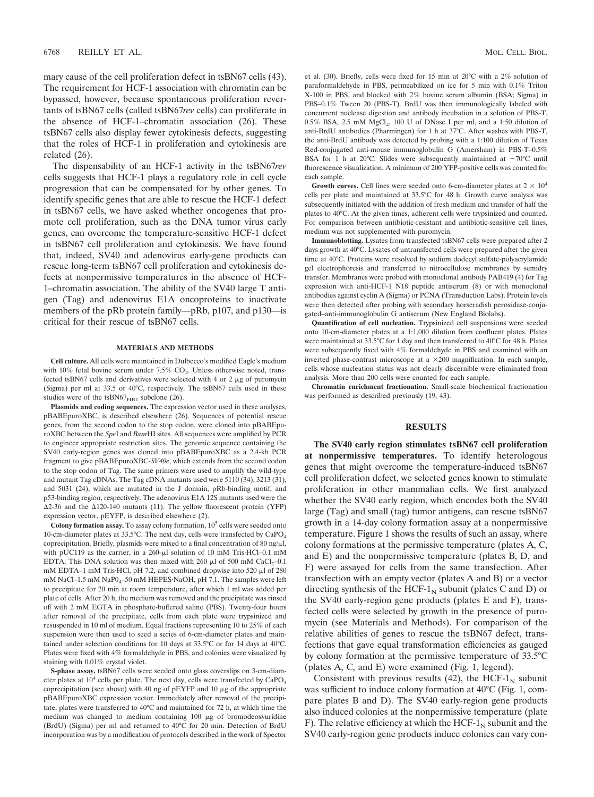mary cause of the cell proliferation defect in tsBN67 cells (43). The requirement for HCF-1 association with chromatin can be bypassed, however, because spontaneous proliferation revertants of tsBN67 cells (called tsBN67*rev* cells) can proliferate in the absence of HCF-1–chromatin association (26). These tsBN67 cells also display fewer cytokinesis defects, suggesting that the roles of HCF-1 in proliferation and cytokinesis are related (26).

The dispensability of an HCF-1 activity in the tsBN67*rev* cells suggests that HCF-1 plays a regulatory role in cell cycle progression that can be compensated for by other genes. To identify specific genes that are able to rescue the HCF-1 defect in tsBN67 cells, we have asked whether oncogenes that promote cell proliferation, such as the DNA tumor virus early genes, can overcome the temperature-sensitive HCF-1 defect in tsBN67 cell proliferation and cytokinesis. We have found that, indeed, SV40 and adenovirus early-gene products can rescue long-term tsBN67 cell proliferation and cytokinesis defects at nonpermissive temperatures in the absence of HCF-1–chromatin association. The ability of the SV40 large T antigen (Tag) and adenovirus E1A oncoproteins to inactivate members of the pRb protein family—pRb, p107, and p130—is critical for their rescue of tsBN67 cells.

#### **MATERIALS AND METHODS**

**Cell culture.** All cells were maintained in Dulbecco's modified Eagle's medium with 10% fetal bovine serum under 7.5%  $CO<sub>2</sub>$ . Unless otherwise noted, transfected tsBN67 cells and derivatives were selected with 4 or 2  $\mu$ g of puromycin (Sigma) per ml at 33.5 or 40°C, respectively. The tsBN67 cells used in these studies were of the tsBN67 $_{\text{HR1}}$  subclone (26).

**Plasmids and coding sequences.** The expression vector used in these analyses, pBABEpuroXBC, is described elsewhere (26). Sequences of potential rescue genes, from the second codon to the stop codon, were cloned into pBABEpuroXBC between the *Spe*I and *Bam*HI sites. All sequences were amplified by PCR to engineer appropriate restriction sites. The genomic sequence containing the SV40 early-region genes was cloned into pBABEpuroXBC as a 2.4-kb PCR fragment to give pBABEpuroXBC-*SV40e*, which extends from the second codon to the stop codon of Tag. The same primers were used to amplify the wild-type and mutant Tag cDNAs. The Tag cDNA mutants used were 5110 (34), 3213 (31), and 5031 (24), which are mutated in the J domain, pRb-binding motif, and p53-binding region, respectively. The adenovirus E1A 12S mutants used were the  $\Delta$ 2-36 and the  $\Delta$ 120-140 mutants (11). The yellow fluorescent protein (YFP) expression vector, pEYFP, is described elsewhere (2).

**Colony formation assay.** To assay colony formation,  $10<sup>5</sup>$  cells were seeded onto 10-cm-diameter plates at  $33.5^{\circ}$ C. The next day, cells were transfected by  $CaPO<sub>4</sub>$ coprecipitation. Briefly, plasmids were mixed to a final concentration of 80 ng/ $\mu$ l, with pUC119 as the carrier, in a  $260$ - $\mu$ l solution of 10 mM Tris·HCl-0.1 mM EDTA. This DNA solution was then mixed with 260  $\mu$ l of 500 mM CaCl<sub>2</sub>–0.1 mM EDTA-1 mM Tris·HCl, pH 7.2, and combined dropwise into 520  $\mu$ l of 280 mM NaCl-1.5 mM NaP0<sub>4</sub>-50 mM HEPES·NaOH, pH 7.1. The samples were left to precipitate for 20 min at room temperature, after which 1 ml was added per plate of cells. After 20 h, the medium was removed and the precipitate was rinsed off with 2 mM EGTA in phosphate-buffered saline (PBS). Twenty-four hours after removal of the precipitate, cells from each plate were trypsinized and resuspended in 10 ml of medium. Equal fractions representing 10 to 25% of each suspension were then used to seed a series of 6-cm-diameter plates and maintained under selection conditions for 10 days at 33.5°C or for 14 days at 40°C. Plates were fixed with 4% formaldehyde in PBS, and colonies were visualized by staining with 0.01% crystal violet.

**S-phase assay.** tsBN67 cells were seeded onto glass coverslips on 3-cm-diameter plates at  $10^4$  cells per plate. The next day, cells were transfected by  $CaPO<sub>4</sub>$ coprecipitation (see above) with 40 ng of pEYFP and 10  $\mu$ g of the appropriate pBABEpuroXBC expression vector. Immediately after removal of the precipitate, plates were transferred to 40°C and maintained for 72 h, at which time the medium was changed to medium containing  $100 \mu g$  of bromodeoxyuridine (BrdU) (Sigma) per ml and returned to 40°C for 20 min. Detection of BrdU incorporation was by a modification of protocols described in the work of Spector

et al. (30). Briefly, cells were fixed for 15 min at 20°C with a 2% solution of paraformaldehyde in PBS, permeabilized on ice for 5 min with 0.1% Triton X-100 in PBS, and blocked with 2% bovine serum albumin (BSA; Sigma) in PBS–0.1% Tween 20 (PBS-T). BrdU was then immunologically labeled with concurrent nuclease digestion and antibody incubation in a solution of PBS-T,  $0.5\%$  BSA, 2.5 mM MgCl<sub>2</sub>, 100 U of DNase I per ml, and a 1:50 dilution of anti-BrdU antibodies (Pharmingen) for 1 h at 37°C. After washes with PBS-T, the anti-BrdU antibody was detected by probing with a 1:100 dilution of Texas Red-conjugated anti-mouse immunoglobulin G (Amersham) in PBS-T–0.5% BSA for 1 h at 20°C. Slides were subsequently maintained at  $-70^{\circ}$ C until fluorescence visualization. A minimum of 200 YFP-positive cells was counted for each sample.

**Growth curves.** Cell lines were seeded onto 6-cm-diameter plates at  $2 \times 10^4$ cells per plate and maintained at 33.5°C for 48 h. Growth curve analysis was subsequently initiated with the addition of fresh medium and transfer of half the plates to 40°C. At the given times, adherent cells were trypsinized and counted. For comparison between antibiotic-resistant and antibiotic-sensitive cell lines, medium was not supplemented with puromycin.

**Immunoblotting.** Lysates from transfected tsBN67 cells were prepared after 2 days growth at 40°C. Lysates of untransfected cells were prepared after the given time at 40°C. Proteins were resolved by sodium dodecyl sulfate-polyacrylamide gel electrophoresis and transferred to nitrocellulose membranes by semidry transfer. Membranes were probed with monoclonal antibody PAB419 (4) for Tag expression with anti-HCF-1 N18 peptide antiserum (8) or with monoclonal antibodies against cyclin A (Sigma) or PCNA (Transduction Labs). Protein levels were then detected after probing with secondary horseradish peroxidase-conjugated–anti-immunoglobulin G antiserum (New England Biolabs).

**Quantification of cell nucleation.** Trypsinized cell suspensions were seeded onto 10-cm-diameter plates at a 1:1,000 dilution from confluent plates. Plates were maintained at 33.5°C for 1 day and then transferred to 40°C for 48 h. Plates were subsequently fixed with 4% formaldehyde in PBS and examined with an inverted phase-contrast microscope at a  $\times$ 200 magnification. In each sample, cells whose nucleation status was not clearly discernible were eliminated from analysis. More than 200 cells were counted for each sample.

**Chromatin enrichment fractionation.** Small-scale biochemical fractionation was performed as described previously (19, 43).

#### **RESULTS**

**The SV40 early region stimulates tsBN67 cell proliferation at nonpermissive temperatures.** To identify heterologous genes that might overcome the temperature-induced tsBN67 cell proliferation defect, we selected genes known to stimulate proliferation in other mammalian cells. We first analyzed whether the SV40 early region, which encodes both the SV40 large (Tag) and small (tag) tumor antigens, can rescue tsBN67 growth in a 14-day colony formation assay at a nonpermissive temperature. Figure 1 shows the results of such an assay, where colony formations at the permissive temperature (plates A, C, and E) and the nonpermissive temperature (plates B, D, and F) were assayed for cells from the same transfection. After transfection with an empty vector (plates A and B) or a vector directing synthesis of the HCF- $1<sub>N</sub>$  subunit (plates C and D) or the SV40 early-region gene products (plates E and F), transfected cells were selected by growth in the presence of puromycin (see Materials and Methods). For comparison of the relative abilities of genes to rescue the tsBN67 defect, transfections that gave equal transformation efficiencies as gauged by colony formation at the permissive temperature of 33.5°C (plates A, C, and E) were examined (Fig. 1, legend).

Consistent with previous results (42), the HCF- $1<sub>N</sub>$  subunit was sufficient to induce colony formation at 40°C (Fig. 1, compare plates B and D). The SV40 early-region gene products also induced colonies at the nonpermissive temperature (plate F). The relative efficiency at which the  $HCF-1<sub>N</sub>$  subunit and the SV40 early-region gene products induce colonies can vary con-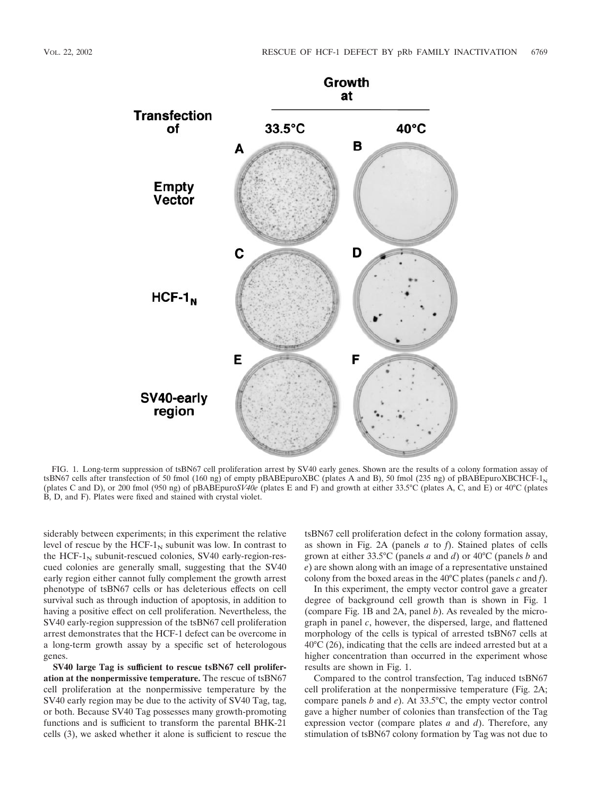

FIG. 1. Long-term suppression of tsBN67 cell proliferation arrest by SV40 early genes. Shown are the results of a colony formation assay of tsBN67 cells after transfection of 50 fmol (160 ng) of empty pBABEpuroXBC (plates A and B), 50 fmol (235 ng) of pBABEpuroXBCHCF-1<sub>N</sub> (plates C and D), or 200 fmol (950 ng) of pBABEpuro*SV40e* (plates E and F) and growth at either 33.5°C (plates A, C, and E) or 40°C (plates B, D, and F). Plates were fixed and stained with crystal violet.

siderably between experiments; in this experiment the relative level of rescue by the HCF- $1_N$  subunit was low. In contrast to the HCF- $1_N$  subunit-rescued colonies, SV40 early-region-rescued colonies are generally small, suggesting that the SV40 early region either cannot fully complement the growth arrest phenotype of tsBN67 cells or has deleterious effects on cell survival such as through induction of apoptosis, in addition to having a positive effect on cell proliferation. Nevertheless, the SV40 early-region suppression of the tsBN67 cell proliferation arrest demonstrates that the HCF-1 defect can be overcome in a long-term growth assay by a specific set of heterologous genes.

**SV40 large Tag is sufficient to rescue tsBN67 cell proliferation at the nonpermissive temperature.** The rescue of tsBN67 cell proliferation at the nonpermissive temperature by the SV40 early region may be due to the activity of SV40 Tag, tag, or both. Because SV40 Tag possesses many growth-promoting functions and is sufficient to transform the parental BHK-21 cells (3), we asked whether it alone is sufficient to rescue the tsBN67 cell proliferation defect in the colony formation assay, as shown in Fig. 2A (panels *a* to *f*). Stained plates of cells grown at either 33.5°C (panels *a* and *d*) or 40°C (panels *b* and *e*) are shown along with an image of a representative unstained colony from the boxed areas in the 40°C plates (panels *c* and *f*).

In this experiment, the empty vector control gave a greater degree of background cell growth than is shown in Fig. 1 (compare Fig. 1B and 2A, panel *b*). As revealed by the micrograph in panel *c*, however, the dispersed, large, and flattened morphology of the cells is typical of arrested tsBN67 cells at 40°C (26), indicating that the cells are indeed arrested but at a higher concentration than occurred in the experiment whose results are shown in Fig. 1.

Compared to the control transfection, Tag induced tsBN67 cell proliferation at the nonpermissive temperature (Fig. 2A; compare panels *b* and *e*). At 33.5°C, the empty vector control gave a higher number of colonies than transfection of the Tag expression vector (compare plates *a* and *d*). Therefore, any stimulation of tsBN67 colony formation by Tag was not due to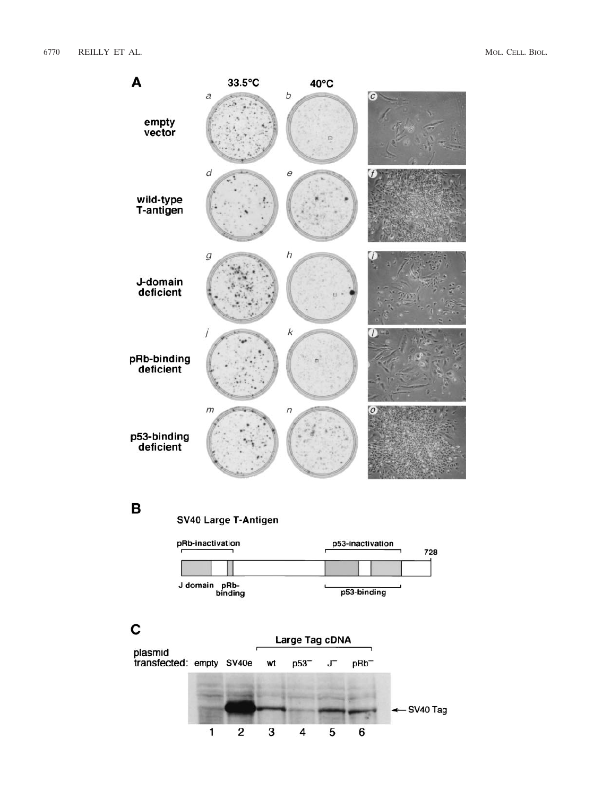

### B

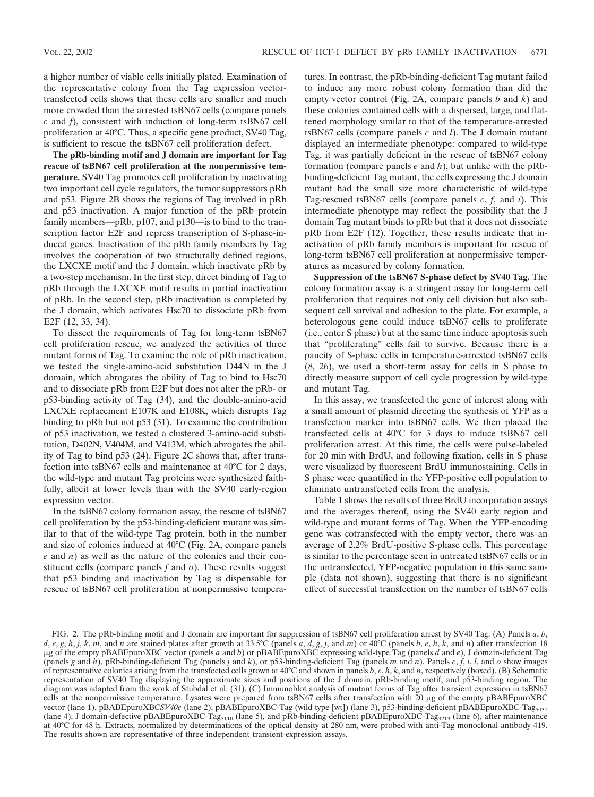a higher number of viable cells initially plated. Examination of the representative colony from the Tag expression vectortransfected cells shows that these cells are smaller and much more crowded than the arrested tsBN67 cells (compare panels *c* and *f*), consistent with induction of long-term tsBN67 cell proliferation at 40°C. Thus, a specific gene product, SV40 Tag, is sufficient to rescue the tsBN67 cell proliferation defect.

**The pRb-binding motif and J domain are important for Tag rescue of tsBN67 cell proliferation at the nonpermissive temperature.** SV40 Tag promotes cell proliferation by inactivating two important cell cycle regulators, the tumor suppressors pRb and p53. Figure 2B shows the regions of Tag involved in pRb and p53 inactivation. A major function of the pRb protein family members—pRb, p107, and p130—is to bind to the transcription factor E2F and repress transcription of S-phase-induced genes. Inactivation of the pRb family members by Tag involves the cooperation of two structurally defined regions, the LXCXE motif and the J domain, which inactivate pRb by a two-step mechanism. In the first step, direct binding of Tag to pRb through the LXCXE motif results in partial inactivation of pRb. In the second step, pRb inactivation is completed by the J domain, which activates Hsc70 to dissociate pRb from E2F (12, 33, 34).

To dissect the requirements of Tag for long-term tsBN67 cell proliferation rescue, we analyzed the activities of three mutant forms of Tag. To examine the role of pRb inactivation, we tested the single-amino-acid substitution D44N in the J domain, which abrogates the ability of Tag to bind to Hsc70 and to dissociate pRb from E2F but does not alter the pRb- or p53-binding activity of Tag (34), and the double-amino-acid LXCXE replacement E107K and E108K, which disrupts Tag binding to pRb but not p53 (31). To examine the contribution of p53 inactivation, we tested a clustered 3-amino-acid substitution, D402N, V404M, and V413M, which abrogates the ability of Tag to bind p53 (24). Figure 2C shows that, after transfection into tsBN67 cells and maintenance at 40°C for 2 days, the wild-type and mutant Tag proteins were synthesized faithfully, albeit at lower levels than with the SV40 early-region expression vector.

In the tsBN67 colony formation assay, the rescue of tsBN67 cell proliferation by the p53-binding-deficient mutant was similar to that of the wild-type Tag protein, both in the number and size of colonies induced at 40°C (Fig. 2A, compare panels *e* and *n*) as well as the nature of the colonies and their constituent cells (compare panels *f* and *o*). These results suggest that p53 binding and inactivation by Tag is dispensable for rescue of tsBN67 cell proliferation at nonpermissive temperatures. In contrast, the pRb-binding-deficient Tag mutant failed to induce any more robust colony formation than did the empty vector control (Fig. 2A, compare panels *b* and *k*) and these colonies contained cells with a dispersed, large, and flattened morphology similar to that of the temperature-arrested tsBN67 cells (compare panels *c* and *l*). The J domain mutant displayed an intermediate phenotype: compared to wild-type Tag, it was partially deficient in the rescue of tsBN67 colony formation (compare panels *e* and *h*), but unlike with the pRbbinding-deficient Tag mutant, the cells expressing the J domain mutant had the small size more characteristic of wild-type Tag-rescued tsBN67 cells (compare panels *c*, *f*, and *i*). This intermediate phenotype may reflect the possibility that the J domain Tag mutant binds to pRb but that it does not dissociate pRb from E2F (12). Together, these results indicate that inactivation of pRb family members is important for rescue of long-term tsBN67 cell proliferation at nonpermissive temperatures as measured by colony formation.

**Suppression of the tsBN67 S-phase defect by SV40 Tag.** The colony formation assay is a stringent assay for long-term cell proliferation that requires not only cell division but also subsequent cell survival and adhesion to the plate. For example, a heterologous gene could induce tsBN67 cells to proliferate (i.e., enter S phase) but at the same time induce apoptosis such that "proliferating" cells fail to survive. Because there is a paucity of S-phase cells in temperature-arrested tsBN67 cells (8, 26), we used a short-term assay for cells in S phase to directly measure support of cell cycle progression by wild-type and mutant Tag.

In this assay, we transfected the gene of interest along with a small amount of plasmid directing the synthesis of YFP as a transfection marker into tsBN67 cells. We then placed the transfected cells at 40°C for 3 days to induce tsBN67 cell proliferation arrest. At this time, the cells were pulse-labeled for 20 min with BrdU, and following fixation, cells in S phase were visualized by fluorescent BrdU immunostaining. Cells in S phase were quantified in the YFP-positive cell population to eliminate untransfected cells from the analysis.

Table 1 shows the results of three BrdU incorporation assays and the averages thereof, using the SV40 early region and wild-type and mutant forms of Tag. When the YFP-encoding gene was cotransfected with the empty vector, there was an average of 2.2% BrdU-positive S-phase cells. This percentage is similar to the percentage seen in untreated tsBN67 cells or in the untransfected, YFP-negative population in this same sample (data not shown), suggesting that there is no significant effect of successful transfection on the number of tsBN67 cells

FIG. 2. The pRb-binding motif and J domain are important for suppression of tsBN67 cell proliferation arrest by SV40 Tag. (A) Panels *a*, *b*, d, e, g, h, j, k, m, and n are stained plates after growth at 33.5°C (panels a, d, g, j, and m) or 40°C (panels b, e, h, k, and n) after transfection 18 g of the empty pBABEpuroXBC vector (panels *a* and *b*) or pBABEpuroXBC expressing wild-type Tag (panels *d* and *e*), J domain-deficient Tag (panels *g* and *h*), pRb-binding-deficient Tag (panels *j* and *k*), or p53-binding-deficient Tag (panels *m* and *n*). Panels *c*, *f*, *i*, *l*, and *o* show images of representative colonies arising from the transfected cells grown at 40°C and shown in panels *b*, *e*, *h*, *k*, and *n*, respectively (boxed). (B) Schematic representation of SV40 Tag displaying the approximate sizes and positions of the J domain, pRb-binding motif, and p53-binding region. The diagram was adapted from the work of Stubdal et al. (31). (C) Immunoblot analysis of mutant forms of Tag after transient expression in tsBN67 cells at the nonpermissive temperature. Lysates were prepared from tsBN67 cells after transfection with 20  $\mu$ g of the empty pBABEpuroXBC vector (lane 1), pBABEpuroXBCSV40e (lane 2), pBABEpuroXBC-Tag (wild type [wt]) (lane 3), p53-binding-deficient pBABEpuroXBC-Tag<sub>5031</sub> (lane 4), J domain-defective pBABEpuroXBC-Tag<sub>5110</sub> (lane 5), and pRb-binding-deficient pBABEpuroXBC-Tag<sub>3213</sub> (lane 6), after maintenance<br>at 40°C for 48 h. Extracts, normalized by determinations of the optical density at The results shown are representative of three independent transient-expression assays.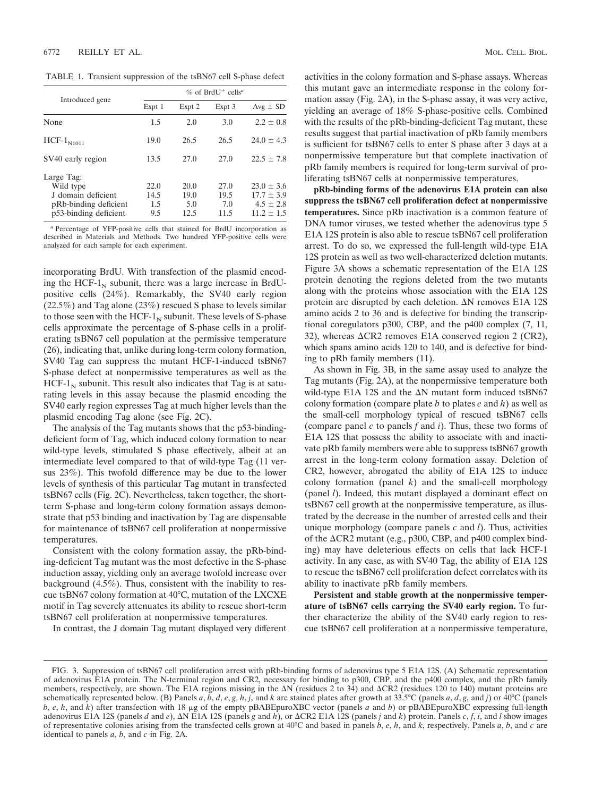TABLE 1. Transient suppression of the tsBN67 cell S-phase defect

|                                                                                                 | $\%$ of BrdU <sup>+</sup> cells <sup><i>a</i></sup> |                             |                             |                                                                     |
|-------------------------------------------------------------------------------------------------|-----------------------------------------------------|-----------------------------|-----------------------------|---------------------------------------------------------------------|
| Introduced gene                                                                                 | Expt 1                                              | Expt 2                      | Expt 3                      | $Avg \pm SD$                                                        |
| None                                                                                            | 1.5                                                 | 2.0                         | 3.0                         | $2.2 \pm 0.8$                                                       |
| $HCF-1N1011$                                                                                    | 19.0                                                | 26.5                        | 26.5                        | $24.0 \pm 4.3$                                                      |
| SV40 early region                                                                               | 13.5                                                | 27.0                        | 27.0                        | $22.5 + 7.8$                                                        |
| Large Tag:<br>Wild type<br>J domain deficient<br>pRb-binding deficient<br>p53-binding deficient | 22.0<br>14.5<br>1.5<br>9.5                          | 20.0<br>19.0<br>5.0<br>12.5 | 27.0<br>19.5<br>7.0<br>11.5 | $23.0 \pm 3.6$<br>$17.7 \pm 3.9$<br>$4.5 \pm 2.8$<br>$11.2 \pm 1.5$ |

*<sup>a</sup>* Percentage of YFP-positive cells that stained for BrdU incorporation as described in Materials and Methods. Two hundred YFP-positive cells were analyzed for each sample for each experiment.

incorporating BrdU. With transfection of the plasmid encoding the HCF- $1_N$  subunit, there was a large increase in BrdUpositive cells (24%). Remarkably, the SV40 early region (22.5%) and Tag alone (23%) rescued S phase to levels similar to those seen with the HCF- $1<sub>N</sub>$  subunit. These levels of S-phase cells approximate the percentage of S-phase cells in a proliferating tsBN67 cell population at the permissive temperature (26), indicating that, unlike during long-term colony formation, SV40 Tag can suppress the mutant HCF-1-induced tsBN67 S-phase defect at nonpermissive temperatures as well as the  $HCF-1<sub>N</sub>$  subunit. This result also indicates that Tag is at saturating levels in this assay because the plasmid encoding the SV40 early region expresses Tag at much higher levels than the plasmid encoding Tag alone (see Fig. 2C).

The analysis of the Tag mutants shows that the p53-bindingdeficient form of Tag, which induced colony formation to near wild-type levels, stimulated S phase effectively, albeit at an intermediate level compared to that of wild-type Tag (11 versus 23%). This twofold difference may be due to the lower levels of synthesis of this particular Tag mutant in transfected tsBN67 cells (Fig. 2C). Nevertheless, taken together, the shortterm S-phase and long-term colony formation assays demonstrate that p53 binding and inactivation by Tag are dispensable for maintenance of tsBN67 cell proliferation at nonpermissive temperatures.

Consistent with the colony formation assay, the pRb-binding-deficient Tag mutant was the most defective in the S-phase induction assay, yielding only an average twofold increase over background (4.5%). Thus, consistent with the inability to rescue tsBN67 colony formation at 40°C, mutation of the LXCXE motif in Tag severely attenuates its ability to rescue short-term tsBN67 cell proliferation at nonpermissive temperatures.

In contrast, the J domain Tag mutant displayed very different

activities in the colony formation and S-phase assays. Whereas this mutant gave an intermediate response in the colony formation assay (Fig. 2A), in the S-phase assay, it was very active, yielding an average of 18% S-phase-positive cells. Combined with the results of the pRb-binding-deficient Tag mutant, these results suggest that partial inactivation of pRb family members is sufficient for tsBN67 cells to enter S phase after 3 days at a nonpermissive temperature but that complete inactivation of pRb family members is required for long-term survival of proliferating tsBN67 cells at nonpermissive temperatures.

**pRb-binding forms of the adenovirus E1A protein can also suppress the tsBN67 cell proliferation defect at nonpermissive temperatures.** Since pRb inactivation is a common feature of DNA tumor viruses, we tested whether the adenovirus type 5 E1A 12S protein is also able to rescue tsBN67 cell proliferation arrest. To do so, we expressed the full-length wild-type E1A 12S protein as well as two well-characterized deletion mutants. Figure 3A shows a schematic representation of the E1A 12S protein denoting the regions deleted from the two mutants along with the proteins whose association with the E1A 12S protein are disrupted by each deletion.  $\Delta N$  removes E1A 12S amino acids 2 to 36 and is defective for binding the transcriptional coregulators p300, CBP, and the p400 complex (7, 11, 32), whereas  $\triangle$ CR2 removes E1A conserved region 2 (CR2), which spans amino acids 120 to 140, and is defective for binding to pRb family members (11).

As shown in Fig. 3B, in the same assay used to analyze the Tag mutants (Fig. 2A), at the nonpermissive temperature both wild-type E1A 12S and the  $\Delta N$  mutant form induced tsBN67 colony formation (compare plate *b* to plates *e* and *h*) as well as the small-cell morphology typical of rescued tsBN67 cells (compare panel *c* to panels *f* and *i*). Thus, these two forms of E1A 12S that possess the ability to associate with and inactivate pRb family members were able to suppress tsBN67 growth arrest in the long-term colony formation assay. Deletion of CR2, however, abrogated the ability of E1A 12S to induce colony formation (panel  $k$ ) and the small-cell morphology (panel *l*). Indeed, this mutant displayed a dominant effect on tsBN67 cell growth at the nonpermissive temperature, as illustrated by the decrease in the number of arrested cells and their unique morphology (compare panels *c* and *l*). Thus, activities of the  $\triangle$ CR2 mutant (e.g., p300, CBP, and p400 complex binding) may have deleterious effects on cells that lack HCF-1 activity. In any case, as with SV40 Tag, the ability of E1A 12S to rescue the tsBN67 cell proliferation defect correlates with its ability to inactivate pRb family members.

**Persistent and stable growth at the nonpermissive temperature of tsBN67 cells carrying the SV40 early region.** To further characterize the ability of the SV40 early region to rescue tsBN67 cell proliferation at a nonpermissive temperature,

FIG. 3. Suppression of tsBN67 cell proliferation arrest with pRb-binding forms of adenovirus type 5 E1A 12S. (A) Schematic representation of adenovirus E1A protein. The N-terminal region and CR2, necessary for binding to p300, CBP, and the p400 complex, and the pRb family members, respectively, are shown. The E1A regions missing in the  $\Delta N$  (residues 2 to 34) and  $\Delta CR2$  (residues 120 to 140) mutant proteins are schematically represented below. (B) Panels a, b, d, e, g, h, j, and k are stained plates after growth at 33.5°C (panels a, d, g, and j) or 40°C (panels  $b$ ,  $e$ ,  $h$ , and  $k$ ) after transfection with 18  $\mu$ g of the empty pBABEpuroXBC vector (panels *a* and *b*) or pBABEpuroXBC expressing full-length adenovirus E1A 12S (panels *d* and *e*),  $\Delta N$  E1A 12S (panels *g* and *h*), or  $\Delta CR2$  E1A 12S (panels *j* and *k*) protein. Panels *c*, *f*, *i*, and *l* show images of representative colonies arising from the transfected cells grown at 40°C and based in panels *b*, *e*, *h*, and *k*, respectively. Panels *a*, *b*, and *c* are identical to panels *a*, *b*, and *c* in Fig. 2A.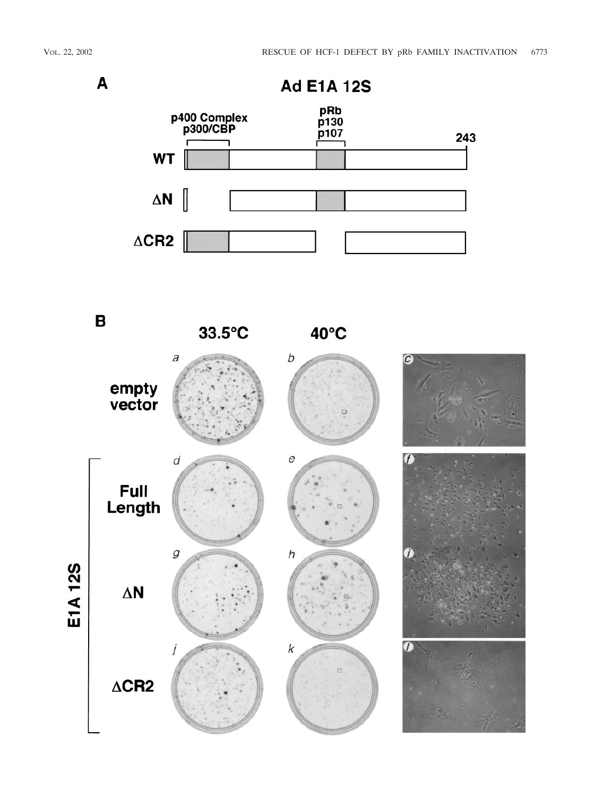A



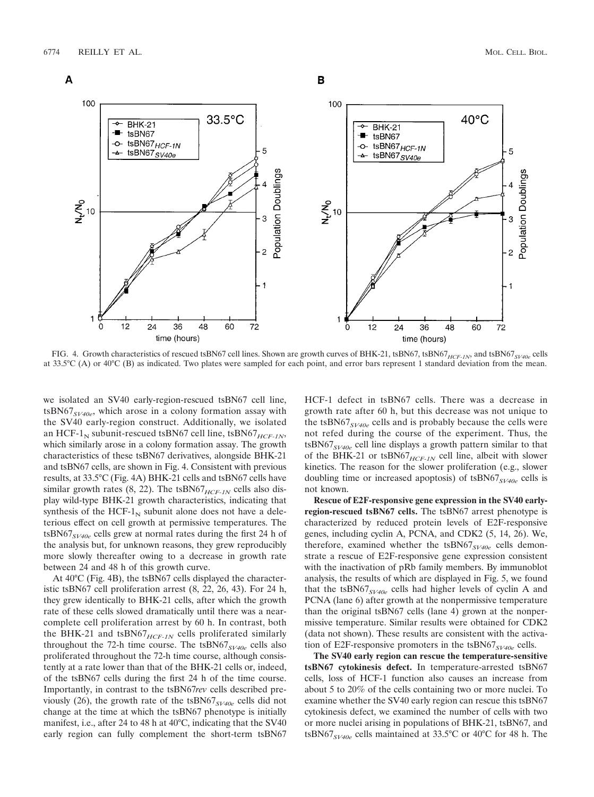

FIG. 4. Growth characteristics of rescued tsBN67 cell lines. Shown are growth curves of BHK-21, tsBN67, tsBN67<sub>*HCF-1N*</sub>, and tsBN67<sub>*SV40e*</sub> cells at 33.5°C (A) or 40°C (B) as indicated. Two plates were sampled for each point, and error bars represent 1 standard deviation from the mean.

we isolated an SV40 early-region-rescued tsBN67 cell line, tsBN67*SV40e*, which arose in a colony formation assay with the SV40 early-region construct. Additionally, we isolated an HCF-1<sub>N</sub> subunit-rescued tsBN67 cell line, tsBN67 $_{HCF-1N}$ , which similarly arose in a colony formation assay. The growth characteristics of these tsBN67 derivatives, alongside BHK-21 and tsBN67 cells, are shown in Fig. 4. Consistent with previous results, at 33.5°C (Fig. 4A) BHK-21 cells and tsBN67 cells have similar growth rates  $(8, 22)$ . The tsBN67<sub>*HCF-1N*</sub> cells also display wild-type BHK-21 growth characteristics, indicating that synthesis of the HCF- $1<sub>N</sub>$  subunit alone does not have a deleterious effect on cell growth at permissive temperatures. The tsBN67*SV40e* cells grew at normal rates during the first 24 h of the analysis but, for unknown reasons, they grew reproducibly more slowly thereafter owing to a decrease in growth rate between 24 and 48 h of this growth curve.

At 40°C (Fig. 4B), the tsBN67 cells displayed the characteristic tsBN67 cell proliferation arrest (8, 22, 26, 43). For 24 h, they grew identically to BHK-21 cells, after which the growth rate of these cells slowed dramatically until there was a nearcomplete cell proliferation arrest by 60 h. In contrast, both the BHK-21 and tsBN67 $_{HCF-1N}$  cells proliferated similarly throughout the 72-h time course. The tsBN67*SV40e* cells also proliferated throughout the 72-h time course, although consistently at a rate lower than that of the BHK-21 cells or, indeed, of the tsBN67 cells during the first 24 h of the time course. Importantly, in contrast to the tsBN67*rev* cells described previously (26), the growth rate of the tsBN67*SV40e* cells did not change at the time at which the tsBN67 phenotype is initially manifest, i.e., after 24 to 48 h at 40°C, indicating that the SV40 early region can fully complement the short-term tsBN67

HCF-1 defect in tsBN67 cells. There was a decrease in growth rate after 60 h, but this decrease was not unique to the tsBN67*SV40e* cells and is probably because the cells were not refed during the course of the experiment. Thus, the tsBN67*SV40e* cell line displays a growth pattern similar to that of the BHK-21 or tsBN67*HCF-1N* cell line, albeit with slower kinetics. The reason for the slower proliferation (e.g., slower doubling time or increased apoptosis) of tsBN67*SV40e* cells is not known.

**Rescue of E2F-responsive gene expression in the SV40 earlyregion-rescued tsBN67 cells.** The tsBN67 arrest phenotype is characterized by reduced protein levels of E2F-responsive genes, including cyclin A, PCNA, and CDK2 (5, 14, 26). We, therefore, examined whether the tsBN67*SV40e* cells demonstrate a rescue of E2F-responsive gene expression consistent with the inactivation of pRb family members. By immunoblot analysis, the results of which are displayed in Fig. 5, we found that the tsBN67*SV40e* cells had higher levels of cyclin A and PCNA (lane 6) after growth at the nonpermissive temperature than the original tsBN67 cells (lane 4) grown at the nonpermissive temperature. Similar results were obtained for CDK2 (data not shown). These results are consistent with the activation of E2F-responsive promoters in the tsBN67<sub>SV40e</sub> cells.

**The SV40 early region can rescue the temperature-sensitive tsBN67 cytokinesis defect.** In temperature-arrested tsBN67 cells, loss of HCF-1 function also causes an increase from about 5 to 20% of the cells containing two or more nuclei. To examine whether the SV40 early region can rescue this tsBN67 cytokinesis defect, we examined the number of cells with two or more nuclei arising in populations of BHK-21, tsBN67, and tsBN67*SV40e* cells maintained at 33.5°C or 40°C for 48 h. The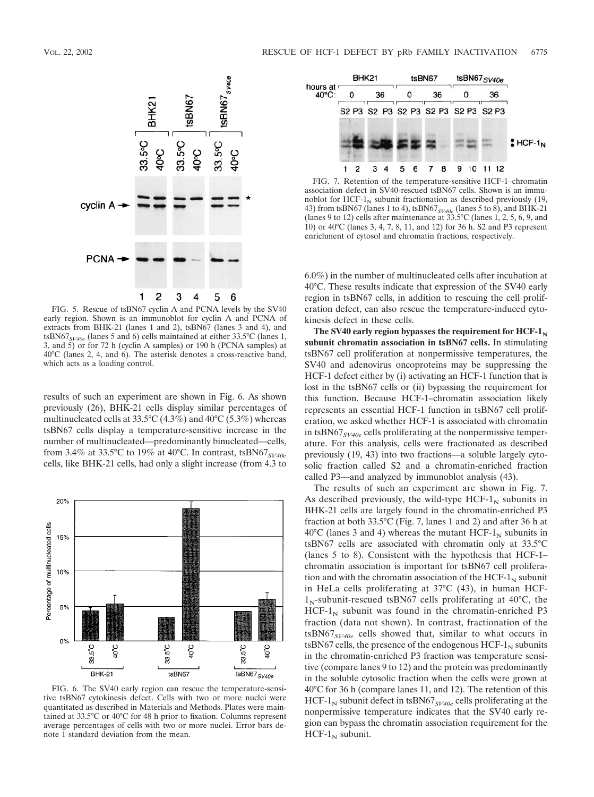

FIG. 5. Rescue of tsBN67 cyclin A and PCNA levels by the SV40 early region. Shown is an immunoblot for cyclin A and PCNA of extracts from BHK-21 (lanes 1 and 2), tsBN67 (lanes 3 and 4), and tsBN67*SV40e* (lanes 5 and 6) cells maintained at either 33.5°C (lanes 1, 3, and  $\overline{5}$ ) or for 72 h (cyclin A samples) or 190 h (PCNA samples) at 40°C (lanes 2, 4, and 6). The asterisk denotes a cross-reactive band, which acts as a loading control.

results of such an experiment are shown in Fig. 6. As shown previously (26), BHK-21 cells display similar percentages of multinucleated cells at  $33.5^{\circ}$ C (4.3%) and  $40^{\circ}$ C (5.3%) whereas tsBN67 cells display a temperature-sensitive increase in the number of multinucleated—predominantly binucleated—cells, from 3.4% at 33.5°C to 19% at 40°C. In contrast, tsBN67*SV40e* cells, like BHK-21 cells, had only a slight increase (from 4.3 to



FIG. 6. The SV40 early region can rescue the temperature-sensitive tsBN67 cytokinesis defect. Cells with two or more nuclei were quantitated as described in Materials and Methods. Plates were maintained at 33.5°C or 40°C for 48 h prior to fixation. Columns represent average percentages of cells with two or more nuclei. Error bars denote 1 standard deviation from the mean.



FIG. 7. Retention of the temperature-sensitive HCF-1–chromatin association defect in SV40-rescued tsBN67 cells. Shown is an immunoblot for HCF- $1_N$  subunit fractionation as described previously (19, 43) from tsBN67 (lanes 1 to 4), tsBN67*SV40e* (lanes 5 to 8), and BHK-21 (lanes 9 to 12) cells after maintenance at 33.5°C (lanes 1, 2, 5, 6, 9, and 10) or 40°C (lanes 3, 4, 7, 8, 11, and 12) for 36 h. S2 and P3 represent enrichment of cytosol and chromatin fractions, respectively.

6.0%) in the number of multinucleated cells after incubation at 40°C. These results indicate that expression of the SV40 early region in tsBN67 cells, in addition to rescuing the cell proliferation defect, can also rescue the temperature-induced cytokinesis defect in these cells.

The SV40 early region bypasses the requirement for  $HCF-1_N$ **subunit chromatin association in tsBN67 cells.** In stimulating tsBN67 cell proliferation at nonpermissive temperatures, the SV40 and adenovirus oncoproteins may be suppressing the HCF-1 defect either by (i) activating an HCF-1 function that is lost in the tsBN67 cells or (ii) bypassing the requirement for this function. Because HCF-1–chromatin association likely represents an essential HCF-1 function in tsBN67 cell proliferation, we asked whether HCF-1 is associated with chromatin in tsBN67*SV40e* cells proliferating at the nonpermissive temperature. For this analysis, cells were fractionated as described previously (19, 43) into two fractions—a soluble largely cytosolic fraction called S2 and a chromatin-enriched fraction called P3—and analyzed by immunoblot analysis (43).

The results of such an experiment are shown in Fig. 7. As described previously, the wild-type  $HCF-1<sub>N</sub>$  subunits in BHK-21 cells are largely found in the chromatin-enriched P3 fraction at both 33.5°C (Fig. 7, lanes 1 and 2) and after 36 h at  $40^{\circ}$ C (lanes 3 and 4) whereas the mutant HCF-1<sub>N</sub> subunits in tsBN67 cells are associated with chromatin only at 33.5°C (lanes 5 to 8). Consistent with the hypothesis that HCF-1– chromatin association is important for tsBN67 cell proliferation and with the chromatin association of the HCF- $1_N$  subunit in HeLa cells proliferating at 37°C (43), in human HCF- $1<sub>N</sub>$ -subunit-rescued tsBN67 cells proliferating at 40°C, the  $HCF-1<sub>N</sub>$  subunit was found in the chromatin-enriched P3 fraction (data not shown). In contrast, fractionation of the tsBN67*SV40e* cells showed that, similar to what occurs in tsBN67 cells, the presence of the endogenous  $HCF-1_N$  subunits in the chromatin-enriched P3 fraction was temperature sensitive (compare lanes 9 to 12) and the protein was predominantly in the soluble cytosolic fraction when the cells were grown at 40°C for 36 h (compare lanes 11, and 12). The retention of this HCF-1<sub>N</sub> subunit defect in tsBN67<sub>SV40e</sub> cells proliferating at the nonpermissive temperature indicates that the SV40 early region can bypass the chromatin association requirement for the  $HCF-1_N$  subunit.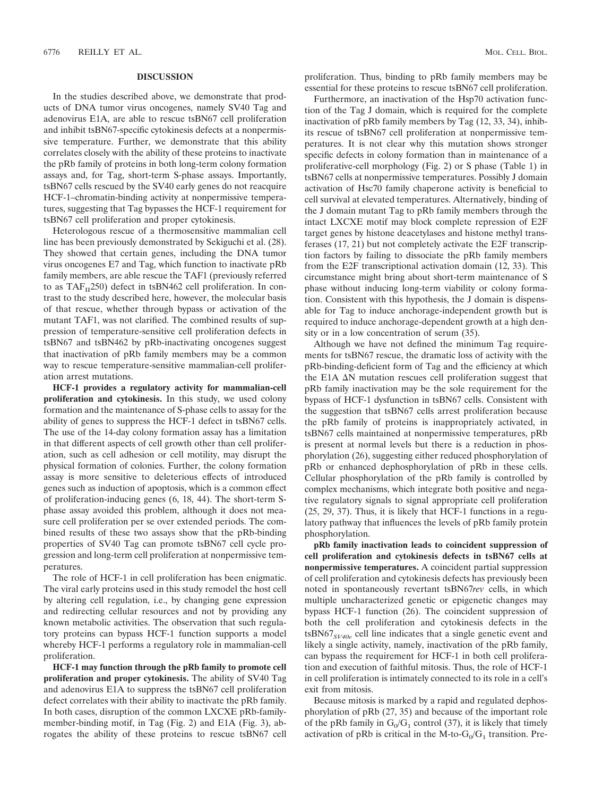#### **DISCUSSION**

In the studies described above, we demonstrate that products of DNA tumor virus oncogenes, namely SV40 Tag and adenovirus E1A, are able to rescue tsBN67 cell proliferation and inhibit tsBN67-specific cytokinesis defects at a nonpermissive temperature. Further, we demonstrate that this ability correlates closely with the ability of these proteins to inactivate the pRb family of proteins in both long-term colony formation assays and, for Tag, short-term S-phase assays. Importantly, tsBN67 cells rescued by the SV40 early genes do not reacquire HCF-1–chromatin-binding activity at nonpermissive temperatures, suggesting that Tag bypasses the HCF-1 requirement for tsBN67 cell proliferation and proper cytokinesis.

Heterologous rescue of a thermosensitive mammalian cell line has been previously demonstrated by Sekiguchi et al. (28). They showed that certain genes, including the DNA tumor virus oncogenes E7 and Tag, which function to inactivate pRb family members, are able rescue the TAF1 (previously referred to as  $TAF_{II}250$ ) defect in tsBN462 cell proliferation. In contrast to the study described here, however, the molecular basis of that rescue, whether through bypass or activation of the mutant TAF1, was not clarified. The combined results of suppression of temperature-sensitive cell proliferation defects in tsBN67 and tsBN462 by pRb-inactivating oncogenes suggest that inactivation of pRb family members may be a common way to rescue temperature-sensitive mammalian-cell proliferation arrest mutations.

**HCF-1 provides a regulatory activity for mammalian-cell proliferation and cytokinesis.** In this study, we used colony formation and the maintenance of S-phase cells to assay for the ability of genes to suppress the HCF-1 defect in tsBN67 cells. The use of the 14-day colony formation assay has a limitation in that different aspects of cell growth other than cell proliferation, such as cell adhesion or cell motility, may disrupt the physical formation of colonies. Further, the colony formation assay is more sensitive to deleterious effects of introduced genes such as induction of apoptosis, which is a common effect of proliferation-inducing genes (6, 18, 44). The short-term Sphase assay avoided this problem, although it does not measure cell proliferation per se over extended periods. The combined results of these two assays show that the pRb-binding properties of SV40 Tag can promote tsBN67 cell cycle progression and long-term cell proliferation at nonpermissive temperatures.

The role of HCF-1 in cell proliferation has been enigmatic. The viral early proteins used in this study remodel the host cell by altering cell regulation, i.e., by changing gene expression and redirecting cellular resources and not by providing any known metabolic activities. The observation that such regulatory proteins can bypass HCF-1 function supports a model whereby HCF-1 performs a regulatory role in mammalian-cell proliferation.

**HCF-1 may function through the pRb family to promote cell proliferation and proper cytokinesis.** The ability of SV40 Tag and adenovirus E1A to suppress the tsBN67 cell proliferation defect correlates with their ability to inactivate the pRb family. In both cases, disruption of the common LXCXE pRb-familymember-binding motif, in Tag (Fig. 2) and E1A (Fig. 3), abrogates the ability of these proteins to rescue tsBN67 cell proliferation. Thus, binding to pRb family members may be essential for these proteins to rescue tsBN67 cell proliferation.

Furthermore, an inactivation of the Hsp70 activation function of the Tag J domain, which is required for the complete inactivation of pRb family members by Tag (12, 33, 34), inhibits rescue of tsBN67 cell proliferation at nonpermissive temperatures. It is not clear why this mutation shows stronger specific defects in colony formation than in maintenance of a proliferative-cell morphology (Fig. 2) or S phase (Table 1) in tsBN67 cells at nonpermissive temperatures. Possibly J domain activation of Hsc70 family chaperone activity is beneficial to cell survival at elevated temperatures. Alternatively, binding of the J domain mutant Tag to pRb family members through the intact LXCXE motif may block complete repression of E2F target genes by histone deacetylases and histone methyl transferases (17, 21) but not completely activate the E2F transcription factors by failing to dissociate the pRb family members from the E2F transcriptional activation domain (12, 33). This circumstance might bring about short-term maintenance of S phase without inducing long-term viability or colony formation. Consistent with this hypothesis, the J domain is dispensable for Tag to induce anchorage-independent growth but is required to induce anchorage-dependent growth at a high density or in a low concentration of serum (35).

Although we have not defined the minimum Tag requirements for tsBN67 rescue, the dramatic loss of activity with the pRb-binding-deficient form of Tag and the efficiency at which the E1A  $\Delta N$  mutation rescues cell proliferation suggest that pRb family inactivation may be the sole requirement for the bypass of HCF-1 dysfunction in tsBN67 cells. Consistent with the suggestion that tsBN67 cells arrest proliferation because the pRb family of proteins is inappropriately activated, in tsBN67 cells maintained at nonpermissive temperatures, pRb is present at normal levels but there is a reduction in phosphorylation (26), suggesting either reduced phosphorylation of pRb or enhanced dephosphorylation of pRb in these cells. Cellular phosphorylation of the pRb family is controlled by complex mechanisms, which integrate both positive and negative regulatory signals to signal appropriate cell proliferation (25, 29, 37). Thus, it is likely that HCF-1 functions in a regulatory pathway that influences the levels of pRb family protein phosphorylation.

**pRb family inactivation leads to coincident suppression of cell proliferation and cytokinesis defects in tsBN67 cells at nonpermissive temperatures.** A coincident partial suppression of cell proliferation and cytokinesis defects has previously been noted in spontaneously revertant tsBN67*rev* cells, in which multiple uncharacterized genetic or epigenetic changes may bypass HCF-1 function (26). The coincident suppression of both the cell proliferation and cytokinesis defects in the tsBN67*SV40e* cell line indicates that a single genetic event and likely a single activity, namely, inactivation of the pRb family, can bypass the requirement for HCF-1 in both cell proliferation and execution of faithful mitosis. Thus, the role of HCF-1 in cell proliferation is intimately connected to its role in a cell's exit from mitosis.

Because mitosis is marked by a rapid and regulated dephosphorylation of pRb (27, 35) and because of the important role of the pRb family in  $G_0/G_1$  control (37), it is likely that timely activation of pRb is critical in the M-to- $G_0/G_1$  transition. Pre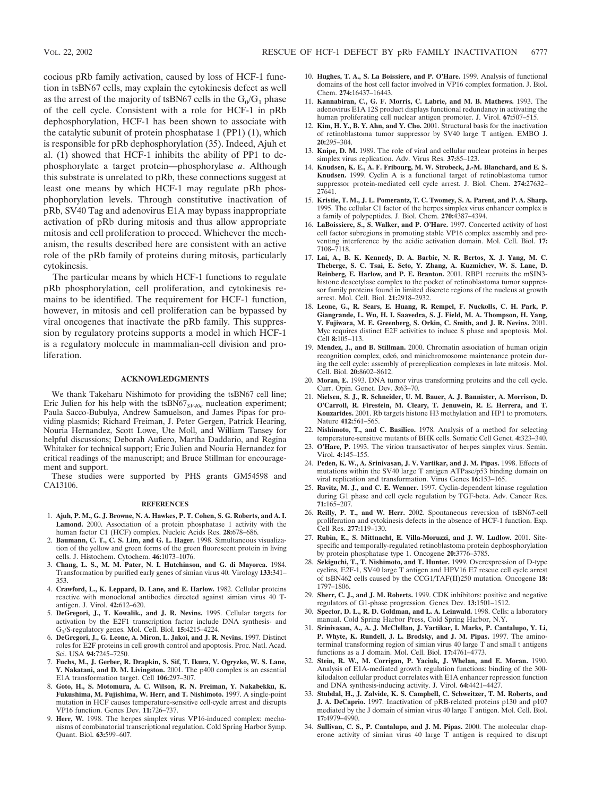cocious pRb family activation, caused by loss of HCF-1 function in tsBN67 cells, may explain the cytokinesis defect as well as the arrest of the majority of tsBN67 cells in the  $G_0/G_1$  phase of the cell cycle. Consistent with a role for HCF-1 in pRb dephosphorylation, HCF-1 has been shown to associate with the catalytic subunit of protein phosphatase 1 (PP1) (1), which is responsible for pRb dephosphorylation (35). Indeed, Ajuh et al. (1) showed that HCF-1 inhibits the ability of PP1 to dephosphorylate a target protein—phosphorylase *a*. Although this substrate is unrelated to pRb, these connections suggest at least one means by which HCF-1 may regulate pRb phosphophorylation levels. Through constitutive inactivation of pRb, SV40 Tag and adenovirus E1A may bypass inappropriate activation of pRb during mitosis and thus allow appropriate mitosis and cell proliferation to proceed. Whichever the mechanism, the results described here are consistent with an active role of the pRb family of proteins during mitosis, particularly cytokinesis.

The particular means by which HCF-1 functions to regulate pRb phosphorylation, cell proliferation, and cytokinesis remains to be identified. The requirement for HCF-1 function, however, in mitosis and cell proliferation can be bypassed by viral oncogenes that inactivate the pRb family. This suppression by regulatory proteins supports a model in which HCF-1 is a regulatory molecule in mammalian-cell division and proliferation.

#### **ACKNOWLEDGMENTS**

We thank Takeharu Nishimoto for providing the tsBN67 cell line; Eric Julien for his help with the tsBN67<sub>*SV40e*</sub> nucleation experiment; Paula Sacco-Bubulya, Andrew Samuelson, and James Pipas for providing plasmids; Richard Freiman, J. Peter Gergen, Patrick Hearing, Nouria Hernandez, Scott Lowe, Ute Moll, and William Tansey for helpful discussions; Deborah Aufiero, Martha Daddario, and Regina Whitaker for technical support; Eric Julien and Nouria Hernandez for critical readings of the manuscript; and Bruce Stillman for encouragement and support.

These studies were supported by PHS grants GM54598 and CA13106.

#### **REFERENCES**

- 1. **Ajuh, P. M., G. J. Browne, N. A. Hawkes, P. T. Cohen, S. G. Roberts, and A. I. Lamond.** 2000. Association of a protein phosphatase 1 activity with the human factor C1 (HCF) complex. Nucleic Acids Res. **28:**678–686.
- 2. **Baumann, C. T., C. S. Lim, and G. L. Hager.** 1998. Simultaneous visualization of the yellow and green forms of the green fluorescent protein in living cells. J. Histochem. Cytochem. **46:**1073–1076.
- 3. **Chang, L. S., M. M. Pater, N. I. Hutchinson, and G. di Mayorca.** 1984. Transformation by purified early genes of simian virus 40. Virology **133:**341– 353.
- 4. **Crawford, L., K. Leppard, D. Lane, and E. Harlow.** 1982. Cellular proteins reactive with monoclonal antibodies directed against simian virus 40 Tantigen. J. Virol. **42:**612–620.
- 5. **DeGregori, J., T. Kowalik., and J. R. Nevins.** 1995. Cellular targets for activation by the E2F1 transcription factor include DNA synthesis- and G1/S-regulatory genes. Mol. Cell. Biol. **15:**4215–4224.
- 6. **DeGregori, J., G. Leone, A. Miron, L. Jakoi, and J. R. Nevins.** 1997. Distinct roles for E2F proteins in cell growth control and apoptosis. Proc. Natl. Acad. Sci. USA **94:**7245–7250.
- 7. **Fuchs, M., J. Gerber, R. Drapkin, S. Sif, T. Ikura, V. Ogryzko, W. S. Lane, Y. Nakatani, and D. M. Livingston.** 2001. The p400 complex is an essential E1A transformation target. Cell **106:**297–307.
- 8. **Goto, H., S. Motomura, A. C. Wilson, R. N. Freiman, Y. Nakabekku, K. Fukushima, M. Fujishima, W. Herr, and T. Nishimoto.** 1997. A single-point mutation in HCF causes temperature-sensitive cell-cycle arrest and disrupts VP16 function. Genes Dev. **11:**726–737.
- 9. **Herr, W.** 1998. The herpes simplex virus VP16-induced complex: mechanisms of combinatorial transcriptional regulation. Cold Spring Harbor Symp. Quant. Biol. **63:**599–607.
- 10. **Hughes, T. A., S. La Boissiere, and P. O'Hare.** 1999. Analysis of functional domains of the host cell factor involved in VP16 complex formation. J. Biol. Chem. **274:**16437–16443.
- 11. **Kannabiran, C., G. F. Morris, C. Labrie, and M. B. Mathews.** 1993. The adenovirus E1A 12S product displays functional redundancy in activating the human proliferating cell nuclear antigen promoter. J. Virol. **67:**507–515.
- 12. **Kim, H. Y., B. Y. Ahn, and Y. Cho.** 2001. Structural basis for the inactivation of retinoblastoma tumor suppressor by SV40 large T antigen. EMBO J. **20:**295–304.
- 13. **Knipe, D. M.** 1989. The role of viral and cellular nuclear proteins in herpes simplex virus replication. Adv. Virus Res. **37:**85–123.
- 14. **Knudsen, K. E., A. F. Fribourg, M. W. Strobeck, J.-M. Blanchard, and E. S. Knudsen.** 1999. Cyclin A is a functional target of retinoblastoma tumor suppressor protein-mediated cell cycle arrest. J. Biol. Chem. **274:**27632– 27641.
- 15. **Kristie, T. M., J. L. Pomerantz, T. C. Twomey, S. A. Parent, and P. A. Sharp.** 1995. The cellular C1 factor of the herpes simplex virus enhancer complex is a family of polypeptides. J. Biol. Chem. **270:**4387–4394.
- 16. **LaBoissiere, S., S. Walker, and P. O'Hare.** 1997. Concerted activity of host cell factor subregions in promoting stable VP16 complex assembly and preventing interference by the acidic activation domain. Mol. Cell. Biol. **17:** 7108–7118.
- 17. **Lai, A., B. K. Kennedy, D. A. Barbie, N. R. Bertos, X. J. Yang, M. C. Theberge, S. C. Tsai, E. Seto, Y. Zhang, A. Kuzmichev, W. S. Lane, D. Reinberg, E. Harlow, and P. E. Branton.** 2001. RBP1 recruits the mSIN3 histone deacetylase complex to the pocket of retinoblastoma tumor suppressor family proteins found in limited discrete regions of the nucleus at growth arrest. Mol. Cell. Biol. **21:**2918–2932.
- 18. **Leone, G., R. Sears, E. Huang, R. Rempel, F. Nuckolls, C. H. Park, P. Giangrande, L. Wu, H. I. Saavedra, S. J. Field, M. A. Thompson, H. Yang, Y. Fujiwara, M. E. Greenberg, S. Orkin, C. Smith, and J. R. Nevins.** 2001. Myc requires distinct E2F activities to induce S phase and apoptosis. Mol. Cell **8:**105–113.
- 19. **Mendez, J., and B. Stillman.** 2000. Chromatin association of human origin recognition complex, cdc6, and minichromosome maintenance protein during the cell cycle: assembly of prereplication complexes in late mitosis. Mol. Cell. Biol. **20:**8602–8612.
- 20. **Moran, E.** 1993. DNA tumor virus transforming proteins and the cell cycle. Curr. Opin. Genet. Dev. **3:**63–70.
- 21. **Nielsen, S. J., R. Schneider, U. M. Bauer, A. J. Bannister, A. Morrison, D. O'Carroll, R. Firestein, M. Cleary, T. Jenuwein, R. E. Herrera, and T. Kouzarides.** 2001. Rb targets histone H3 methylation and HP1 to promoters. Nature **412:**561–565.
- 22. **Nishimoto, T., and C. Basilico.** 1978. Analysis of a method for selecting temperature-sensitive mutants of BHK cells. Somatic Cell Genet. **4:**323–340.
- 23. **O'Hare, P.** 1993. The virion transactivator of herpes simplex virus. Semin. Virol. **4:**145–155.
- 24. **Peden, K. W., A. Srinivasan, J. V. Vartikar, and J. M. Pipas.** 1998. Effects of mutations within the SV40 large T antigen ATPase/p53 binding domain on viral replication and transformation. Virus Genes **16:**153–165.
- 25. **Ravitz, M. J., and C. E. Wenner.** 1997. Cyclin-dependent kinase regulation during G1 phase and cell cycle regulation by TGF-beta. Adv. Cancer Res. **71:**165–207.
- 26. **Reilly, P. T., and W. Herr.** 2002. Spontaneous reversion of tsBN67-cell proliferation and cytokinesis defects in the absence of HCF-1 function. Exp. Cell Res. **277:**119–130.
- 27. **Rubin, E., S. Mittnacht, E. Villa-Moruzzi, and J. W. Ludlow.** 2001. Sitespecific and temporally-regulated retinoblastoma protein dephosphorylation by protein phosphatase type 1. Oncogene **20:**3776–3785.
- 28. **Sekiguchi, T., T. Nishimoto, and T. Hunter.** 1999. Overexpression of D-type cyclins, E2F-1, SV40 large T antigen and HPV16 E7 rescue cell cycle arrest of tsBN462 cells caused by the CCG1/TAF(II)250 mutation. Oncogene **18:** 1797–1806.
- 29. **Sherr, C. J., and J. M. Roberts.** 1999. CDK inhibitors: positive and negative regulators of G1-phase progression. Genes Dev. **13:**1501–1512.
- 30. **Spector, D. L., R. D. Goldman, and L. A. Leinwald.** 1998. Cells: a laboratory manual. Cold Spring Harbor Press, Cold Spring Harbor, N.Y.
- 31. **Srinivasan, A., A. J. McClellan, J. Vartikar, I. Marks, P. Cantalupo, Y. Li, P. Whyte, K. Rundell, J. L. Brodsky, and J. M. Pipas.** 1997. The aminoterminal transforming region of simian virus 40 large T and small t antigens functions as a J domain. Mol. Cell. Biol. **17:**4761–4773.
- 32. **Stein, R. W., M. Corrigan, P. Yaciuk, J. Whelan, and E. Moran.** 1990. Analysis of E1A-mediated growth regulation functions: binding of the 300 kilodalton cellular product correlates with E1A enhancer repression function and DNA synthesis-inducing activity. J. Virol. **64:**4421–4427.
- 33. **Stubdal, H., J. Zalvide, K. S. Campbell, C. Schweitzer, T. M. Roberts, and J. A. DeCaprio.** 1997. Inactivation of pRB-related proteins p130 and p107 mediated by the J domain of simian virus 40 large T antigen. Mol. Cell. Biol. **17:**4979–4990.
- 34. **Sullivan, C. S., P. Cantalupo, and J. M. Pipas.** 2000. The molecular chaperone activity of simian virus 40 large T antigen is required to disrupt